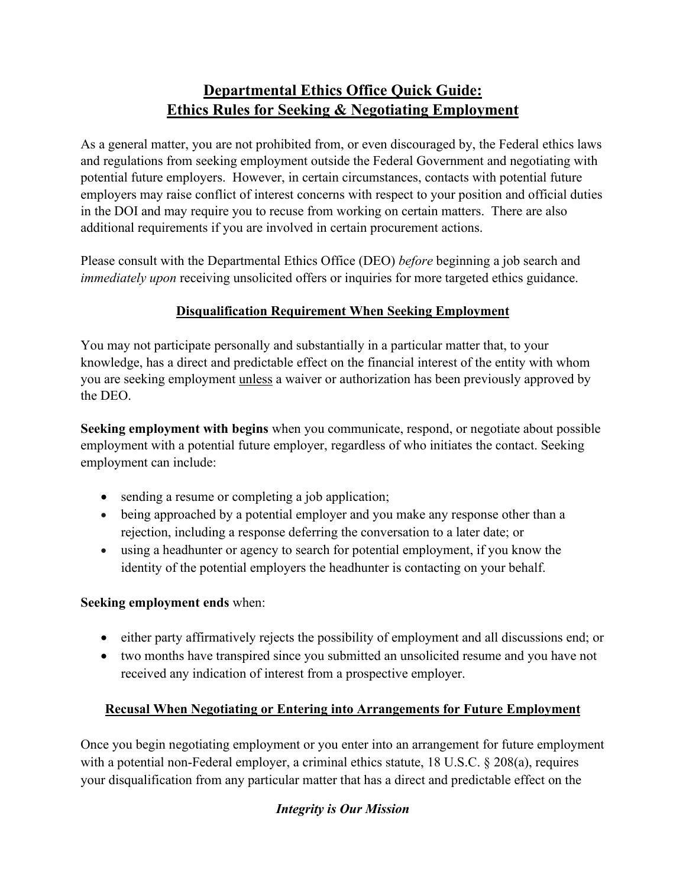# **Departmental Ethics Office Quick Guide: Ethics Rules for Seeking & Negotiating Employment**

As a general matter, you are not prohibited from, or even discouraged by, the Federal ethics laws and regulations from seeking employment outside the Federal Government and negotiating with potential future employers. However, in certain circumstances, contacts with potential future employers may raise conflict of interest concerns with respect to your position and official duties in the DOI and may require you to recuse from working on certain matters. There are also additional requirements if you are involved in certain procurement actions.

Please consult with the Departmental Ethics Office (DEO) *before* beginning a job search and *immediately upon receiving unsolicited offers or inquiries for more targeted ethics guidance.* 

#### **Disqualification Requirement When Seeking Employment**

You may not participate personally and substantially in a particular matter that, to your knowledge, has a direct and predictable effect on the financial interest of the entity with whom you are seeking employment unless a waiver or authorization has been previously approved by the DEO.

**Seeking employment with begins** when you communicate, respond, or negotiate about possible employment with a potential future employer, regardless of who initiates the contact. Seeking employment can include:

- sending a resume or completing a job application;
- being approached by a potential employer and you make any response other than a rejection, including a response deferring the conversation to a later date; or
- using a headhunter or agency to search for potential employment, if you know the identity of the potential employers the headhunter is contacting on your behalf.

#### **Seeking employment ends** when:

- either party affirmatively rejects the possibility of employment and all discussions end; or
- two months have transpired since you submitted an unsolicited resume and you have not received any indication of interest from a prospective employer.

#### **Recusal When Negotiating or Entering into Arrangements for Future Employment**

Once you begin negotiating employment or you enter into an arrangement for future employment with a potential non-Federal employer, a criminal ethics statute, 18 U.S.C. § 208(a), requires your disqualification from any particular matter that has a direct and predictable effect on the

#### *Integrity is Our Mission*